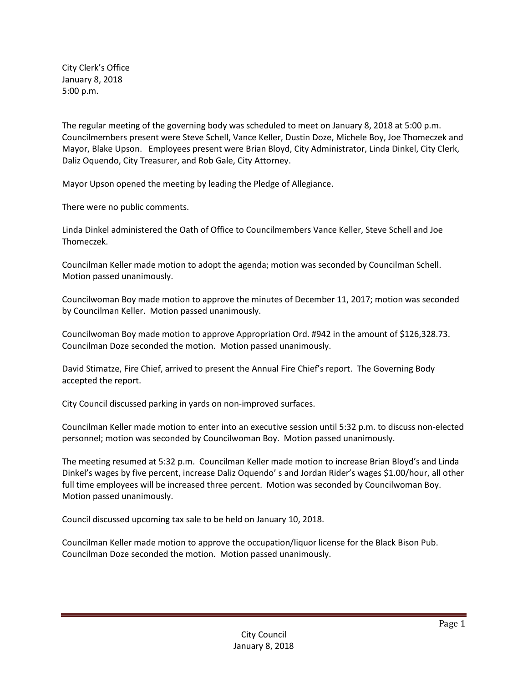City Clerk's Office January 8, 2018 5:00 p.m.

The regular meeting of the governing body was scheduled to meet on January 8, 2018 at 5:00 p.m. Councilmembers present were Steve Schell, Vance Keller, Dustin Doze, Michele Boy, Joe Thomeczek and Mayor, Blake Upson. Employees present were Brian Bloyd, City Administrator, Linda Dinkel, City Clerk, Daliz Oquendo, City Treasurer, and Rob Gale, City Attorney.

Mayor Upson opened the meeting by leading the Pledge of Allegiance.

There were no public comments.

Linda Dinkel administered the Oath of Office to Councilmembers Vance Keller, Steve Schell and Joe Thomeczek.

Councilman Keller made motion to adopt the agenda; motion was seconded by Councilman Schell. Motion passed unanimously.

Councilwoman Boy made motion to approve the minutes of December 11, 2017; motion was seconded by Councilman Keller. Motion passed unanimously.

Councilwoman Boy made motion to approve Appropriation Ord. #942 in the amount of \$126,328.73. Councilman Doze seconded the motion. Motion passed unanimously.

David Stimatze, Fire Chief, arrived to present the Annual Fire Chief's report. The Governing Body accepted the report.

City Council discussed parking in yards on non-improved surfaces.

Councilman Keller made motion to enter into an executive session until 5:32 p.m. to discuss non-elected personnel; motion was seconded by Councilwoman Boy. Motion passed unanimously.

The meeting resumed at 5:32 p.m. Councilman Keller made motion to increase Brian Bloyd's and Linda Dinkel's wages by five percent, increase Daliz Oquendo' s and Jordan Rider's wages \$1.00/hour, all other full time employees will be increased three percent. Motion was seconded by Councilwoman Boy. Motion passed unanimously.

Council discussed upcoming tax sale to be held on January 10, 2018.

Councilman Keller made motion to approve the occupation/liquor license for the Black Bison Pub. Councilman Doze seconded the motion. Motion passed unanimously.